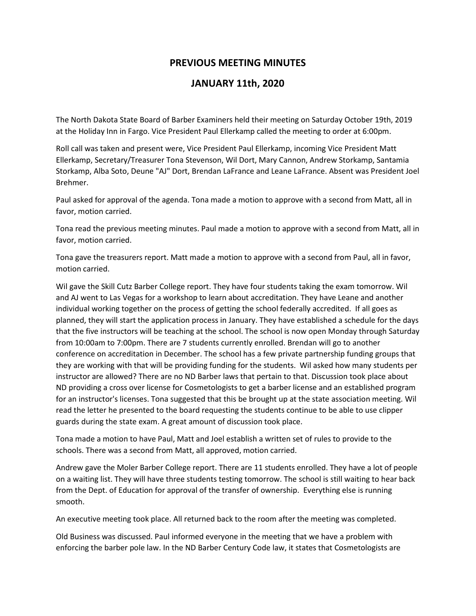## **PREVIOUS MEETING MINUTES**

## **JANUARY 11th, 2020**

The North Dakota State Board of Barber Examiners held their meeting on Saturday October 19th, 2019 at the Holiday Inn in Fargo. Vice President Paul Ellerkamp called the meeting to order at 6:00pm.

Roll call was taken and present were, Vice President Paul Ellerkamp, incoming Vice President Matt Ellerkamp, Secretary/Treasurer Tona Stevenson, Wil Dort, Mary Cannon, Andrew Storkamp, Santamia Storkamp, Alba Soto, Deune "AJ" Dort, Brendan LaFrance and Leane LaFrance. Absent was President Joel Brehmer.

Paul asked for approval of the agenda. Tona made a motion to approve with a second from Matt, all in favor, motion carried.

Tona read the previous meeting minutes. Paul made a motion to approve with a second from Matt, all in favor, motion carried.

Tona gave the treasurers report. Matt made a motion to approve with a second from Paul, all in favor, motion carried.

Wil gave the Skill Cutz Barber College report. They have four students taking the exam tomorrow. Wil and AJ went to Las Vegas for a workshop to learn about accreditation. They have Leane and another individual working together on the process of getting the school federally accredited. If all goes as planned, they will start the application process in January. They have established a schedule for the days that the five instructors will be teaching at the school. The school is now open Monday through Saturday from 10:00am to 7:00pm. There are 7 students currently enrolled. Brendan will go to another conference on accreditation in December. The school has a few private partnership funding groups that they are working with that will be providing funding for the students. Wil asked how many students per instructor are allowed? There are no ND Barber laws that pertain to that. Discussion took place about ND providing a cross over license for Cosmetologists to get a barber license and an established program for an instructor's licenses. Tona suggested that this be brought up at the state association meeting. Wil read the letter he presented to the board requesting the students continue to be able to use clipper guards during the state exam. A great amount of discussion took place.

Tona made a motion to have Paul, Matt and Joel establish a written set of rules to provide to the schools. There was a second from Matt, all approved, motion carried.

Andrew gave the Moler Barber College report. There are 11 students enrolled. They have a lot of people on a waiting list. They will have three students testing tomorrow. The school is still waiting to hear back from the Dept. of Education for approval of the transfer of ownership. Everything else is running smooth.

An executive meeting took place. All returned back to the room after the meeting was completed.

Old Business was discussed. Paul informed everyone in the meeting that we have a problem with enforcing the barber pole law. In the ND Barber Century Code law, it states that Cosmetologists are